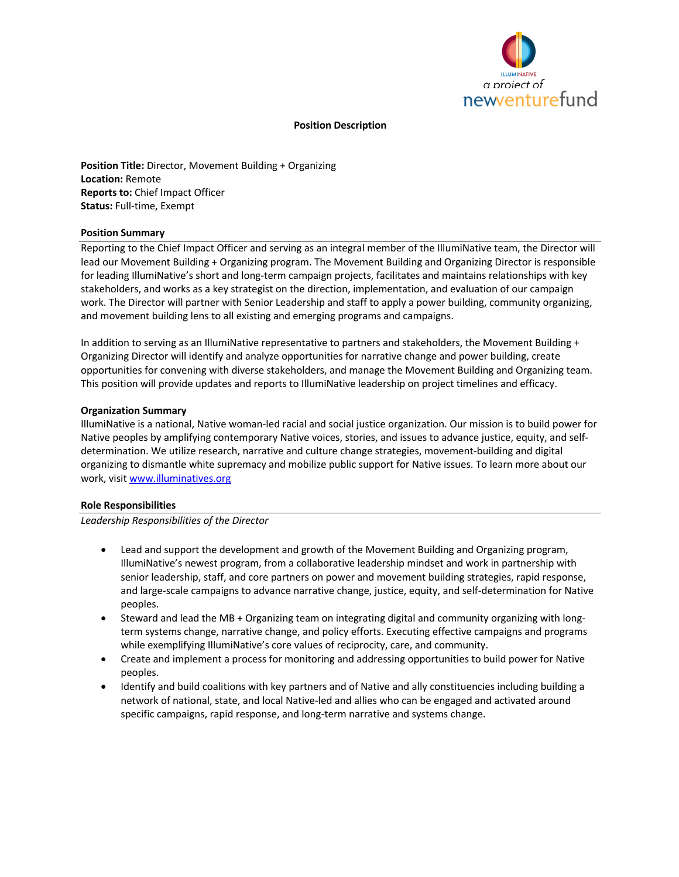

#### **Position Description**

**Position Title:** Director, Movement Building + Organizing **Location:** Remote **Reports to:** Chief Impact Officer **Status:** Full-time, Exempt

### **Position Summary**

Reporting to the Chief Impact Officer and serving as an integral member of the IllumiNative team, the Director will lead our Movement Building + Organizing program. The Movement Building and Organizing Director is responsible for leading IllumiNative's short and long-term campaign projects, facilitates and maintains relationships with key stakeholders, and works as a key strategist on the direction, implementation, and evaluation of our campaign work. The Director will partner with Senior Leadership and staff to apply a power building, community organizing, and movement building lens to all existing and emerging programs and campaigns.

In addition to serving as an IllumiNative representative to partners and stakeholders, the Movement Building + Organizing Director will identify and analyze opportunities for narrative change and power building, create opportunities for convening with diverse stakeholders, and manage the Movement Building and Organizing team. This position will provide updates and reports to IllumiNative leadership on project timelines and efficacy.

#### **Organization Summary**

IllumiNative is a national, Native woman-led racial and social justice organization. Our mission is to build power for Native peoples by amplifying contemporary Native voices, stories, and issues to advance justice, equity, and selfdetermination. We utilize research, narrative and culture change strategies, movement-building and digital organizing to dismantle white supremacy and mobilize public support for Native issues. To learn more about our work, visit www.illuminatives.org

#### **Role Responsibilities**

*Leadership Responsibilities of the Director*

- Lead and support the development and growth of the Movement Building and Organizing program, IllumiNative's newest program, from a collaborative leadership mindset and work in partnership with senior leadership, staff, and core partners on power and movement building strategies, rapid response, and large-scale campaigns to advance narrative change, justice, equity, and self-determination for Native peoples.
- Steward and lead the MB + Organizing team on integrating digital and community organizing with longterm systems change, narrative change, and policy efforts. Executing effective campaigns and programs while exemplifying IllumiNative's core values of reciprocity, care, and community.
- Create and implement a process for monitoring and addressing opportunities to build power for Native peoples.
- Identify and build coalitions with key partners and of Native and ally constituencies including building a network of national, state, and local Native-led and allies who can be engaged and activated around specific campaigns, rapid response, and long-term narrative and systems change.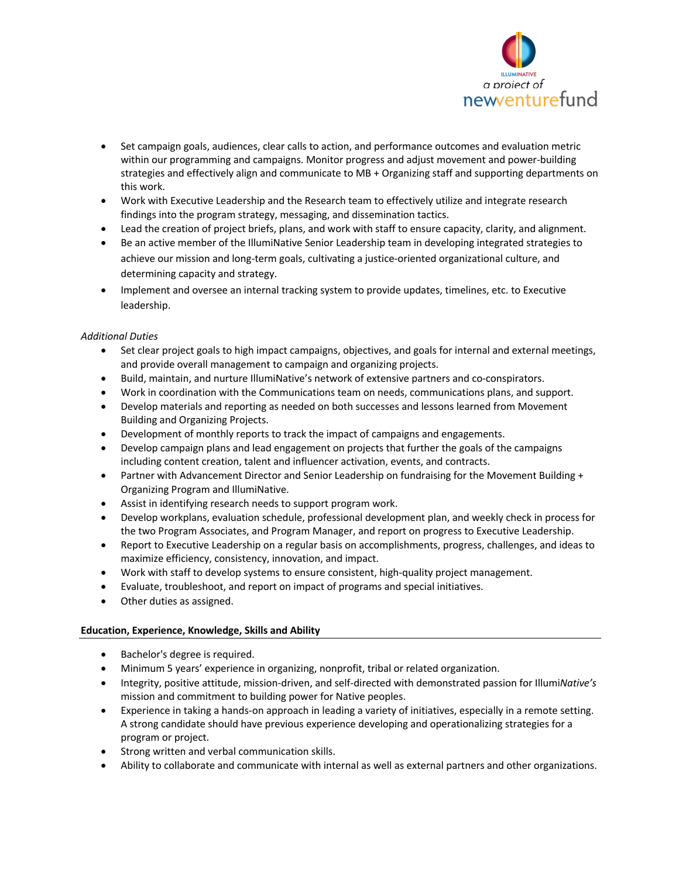

- Set campaign goals, audiences, clear calls to action, and performance outcomes and evaluation metric within our programming and campaigns. Monitor progress and adjust movement and power-building strategies and effectively align and communicate to MB + Organizing staff and supporting departments on this work.
- Work with Executive Leadership and the Research team to effectively utilize and integrate research findings into the program strategy, messaging, and dissemination tactics.
- Lead the creation of project briefs, plans, and work with staff to ensure capacity, clarity, and alignment.
- Be an active member of the IllumiNative Senior Leadership team in developing integrated strategies to achieve our mission and long-term goals, cultivating a justice-oriented organizational culture, and determining capacity and strategy.
- Implement and oversee an internal tracking system to provide updates, timelines, etc. to Executive leadership.

# *Additional Duties*

- Set clear project goals to high impact campaigns, objectives, and goals for internal and external meetings, and provide overall management to campaign and organizing projects.
- Build, maintain, and nurture IllumiNative's network of extensive partners and co-conspirators.
- Work in coordination with the Communications team on needs, communications plans, and support.
- Develop materials and reporting as needed on both successes and lessons learned from Movement Building and Organizing Projects.
- Development of monthly reports to track the impact of campaigns and engagements.
- Develop campaign plans and lead engagement on projects that further the goals of the campaigns including content creation, talent and influencer activation, events, and contracts.
- Partner with Advancement Director and Senior Leadership on fundraising for the Movement Building + Organizing Program and IllumiNative.
- Assist in identifying research needs to support program work.
- Develop workplans, evaluation schedule, professional development plan, and weekly check in process for the two Program Associates, and Program Manager, and report on progress to Executive Leadership.
- Report to Executive Leadership on a regular basis on accomplishments, progress, challenges, and ideas to maximize efficiency, consistency, innovation, and impact.
- Work with staff to develop systems to ensure consistent, high-quality project management.
- Evaluate, troubleshoot, and report on impact of programs and special initiatives.
- Other duties as assigned.

# **Education, Experience, Knowledge, Skills and Ability**

- Bachelor's degree is required.
- Minimum 5 years' experience in organizing, nonprofit, tribal or related organization.
- Integrity, positive attitude, mission-driven, and self-directed with demonstrated passion for Illumi*Native's* mission and commitment to building power for Native peoples.
- Experience in taking a hands-on approach in leading a variety of initiatives, especially in a remote setting. A strong candidate should have previous experience developing and operationalizing strategies for a program or project.
- Strong written and verbal communication skills.
- Ability to collaborate and communicate with internal as well as external partners and other organizations.